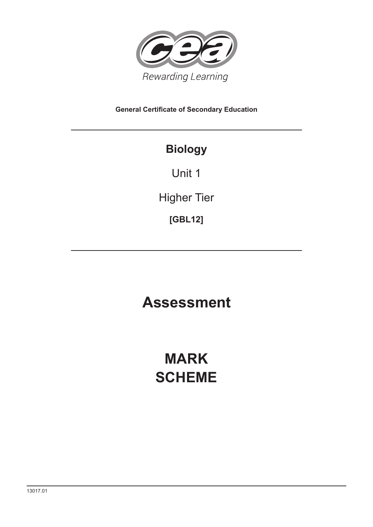

**General Certificate of Secondary Education**

# **Biology**

Unit 1

Higher Tier

**[GBL12]**

# **Assessment**

# **MARK SCHEME**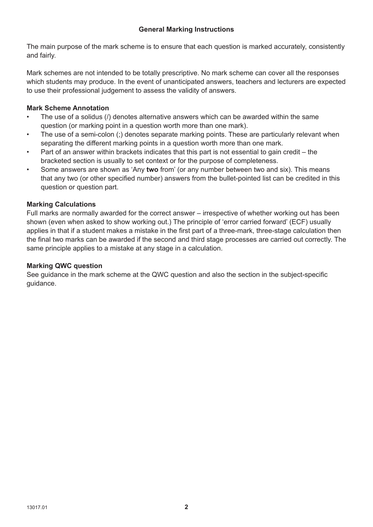The main purpose of the mark scheme is to ensure that each question is marked accurately, consistently and fairly.

Mark schemes are not intended to be totally prescriptive. No mark scheme can cover all the responses which students may produce. In the event of unanticipated answers, teachers and lecturers are expected to use their professional judgement to assess the validity of answers.

## **Mark Scheme Annotation**

- The use of a solidus (/) denotes alternative answers which can be awarded within the same question (or marking point in a question worth more than one mark).
- The use of a semi-colon (;) denotes separate marking points. These are particularly relevant when separating the different marking points in a question worth more than one mark.
- Part of an answer within brackets indicates that this part is not essential to gain credit the bracketed section is usually to set context or for the purpose of completeness.
- Some answers are shown as 'Any **two** from' (or any number between two and six). This means that any two (or other specified number) answers from the bullet-pointed list can be credited in this question or question part.

## **Marking Calculations**

Full marks are normally awarded for the correct answer – irrespective of whether working out has been shown (even when asked to show working out.) The principle of 'error carried forward' (ECF) usually applies in that if a student makes a mistake in the first part of a three-mark, three-stage calculation then the final two marks can be awarded if the second and third stage processes are carried out correctly. The same principle applies to a mistake at any stage in a calculation.

## **Marking QWC question**

See guidance in the mark scheme at the QWC question and also the section in the subject-specific guidance.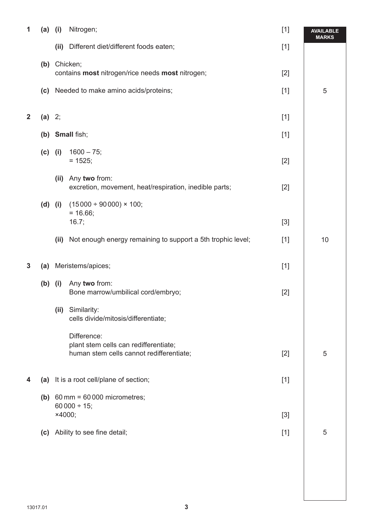| 1            | (a)       | (i)    | Nitrogen;                                                                                        | $[1]$ | <b>AVAILABLE</b><br><b>MARKS</b> |
|--------------|-----------|--------|--------------------------------------------------------------------------------------------------|-------|----------------------------------|
|              |           |        | (ii) Different diet/different foods eaten;                                                       | $[1]$ |                                  |
|              |           |        | (b) Chicken;                                                                                     |       |                                  |
|              |           |        | contains most nitrogen/rice needs most nitrogen;                                                 | $[2]$ |                                  |
|              | (c)       |        | Needed to make amino acids/proteins;                                                             | $[1]$ | 5                                |
| $\mathbf{2}$ | (a) 2;    |        |                                                                                                  | $[1]$ |                                  |
|              |           |        | (b) Small fish;                                                                                  | $[1]$ |                                  |
|              | $(c)$ (i) |        | $1600 - 75;$<br>$= 1525$ ;                                                                       | $[2]$ |                                  |
|              |           | (ii)   | Any two from:<br>excretion, movement, heat/respiration, inedible parts;                          | $[2]$ |                                  |
|              | $(d)$ (i) |        | $(15000 \div 90000) \times 100;$<br>$= 16.66$ ;<br>16.7;                                         | $[3]$ |                                  |
|              |           | (ii)   | Not enough energy remaining to support a 5th trophic level;                                      | $[1]$ | 10                               |
| 3            |           |        | (a) Meristems/apices;                                                                            | $[1]$ |                                  |
|              | $(b)$ (i) |        | Any two from:<br>Bone marrow/umbilical cord/embryo;                                              | $[2]$ |                                  |
|              |           | (ii)   | Similarity:<br>cells divide/mitosis/differentiate;                                               |       |                                  |
|              |           |        | Difference:<br>plant stem cells can redifferentiate;<br>human stem cells cannot redifferentiate; | $[2]$ | 5                                |
| 4            | (a)       |        | It is a root cell/plane of section;                                                              | $[1]$ |                                  |
|              |           |        | (b) $60 \text{ mm} = 60000 \text{ micrometers}$ ;<br>60 000 $\div$ 15;                           |       |                                  |
|              |           | ×4000; |                                                                                                  | $[3]$ |                                  |
|              | (c)       |        | Ability to see fine detail;                                                                      | $[1]$ | 5                                |
|              |           |        |                                                                                                  |       |                                  |
|              |           |        |                                                                                                  |       |                                  |
|              |           |        |                                                                                                  |       |                                  |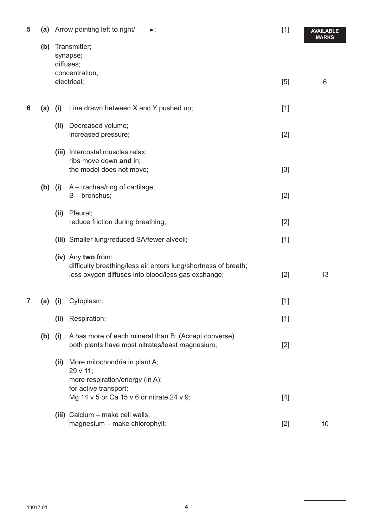| 5 | (a)       |      | Arrow pointing left to right/ $\longrightarrow$ ;                                                                                          | $[1]$ | <b>AVAILABLE</b><br><b>MARKS</b> |
|---|-----------|------|--------------------------------------------------------------------------------------------------------------------------------------------|-------|----------------------------------|
|   | (b)       |      | Transmitter;<br>synapse;<br>diffuses;                                                                                                      |       |                                  |
|   |           |      | concentration;<br>electrical;                                                                                                              | [5]   | 6                                |
| 6 | (a)       | (i)  | Line drawn between X and Y pushed up;                                                                                                      | $[1]$ |                                  |
|   |           | (ii) | Decreased volume;<br>increased pressure;                                                                                                   | $[2]$ |                                  |
|   |           |      | (iii) Intercostal muscles relax;<br>ribs move down and in;<br>the model does not move;                                                     | $[3]$ |                                  |
|   | $(b)$ (i) |      | A - trachea/ring of cartilage;<br>$B -$ bronchus;                                                                                          | $[2]$ |                                  |
|   |           | (ii) | Pleural;<br>reduce friction during breathing;                                                                                              | $[2]$ |                                  |
|   |           |      | (iii) Smaller lung/reduced SA/fewer alveoli;                                                                                               | $[1]$ |                                  |
|   |           |      | (iv) Any two from:<br>difficulty breathing/less air enters lung/shortness of breath;<br>less oxygen diffuses into blood/less gas exchange; | $[2]$ | 13                               |
| 7 | (a)       | (i)  | Cytoplasm;                                                                                                                                 | $[1]$ |                                  |
|   |           | (ii) | Respiration;                                                                                                                               | $[1]$ |                                  |
|   | $(b)$ (i) |      | A has more of each mineral than B; (Accept converse)<br>both plants have most nitrates/least magnesium;                                    | $[2]$ |                                  |
|   |           |      | (ii) More mitochondria in plant A;<br>29 v 11;<br>more respiration/energy (in A);                                                          |       |                                  |
|   |           |      | for active transport;<br>Mg 14 v 5 or Ca 15 v 6 or nitrate 24 v 9;                                                                         | $[4]$ |                                  |
|   |           |      | (iii) Calcium - make cell walls;<br>magnesium - make chlorophyll;                                                                          | $[2]$ | 10                               |
|   |           |      |                                                                                                                                            |       |                                  |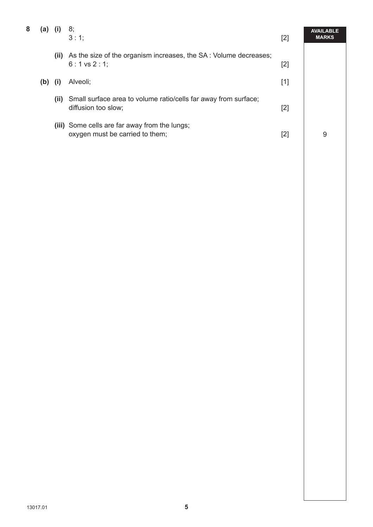| 8 | (a)       |      | 8;<br>3:1;                                                                             | $[2]$ | <b>AVAILABLE</b><br><b>MARKS</b> |
|---|-----------|------|----------------------------------------------------------------------------------------|-------|----------------------------------|
|   |           | (ii) | As the size of the organism increases, the SA: Volume decreases;<br>$6:1$ vs $2:1$ ;   | $[2]$ |                                  |
|   | $(b)$ (i) |      | Alveoli:                                                                               | $[1]$ |                                  |
|   |           | (ii) | Small surface area to volume ratio/cells far away from surface;<br>diffusion too slow; | $[2]$ |                                  |
|   |           |      | (iii) Some cells are far away from the lungs;<br>oxygen must be carried to them;       | $[2]$ | 9                                |